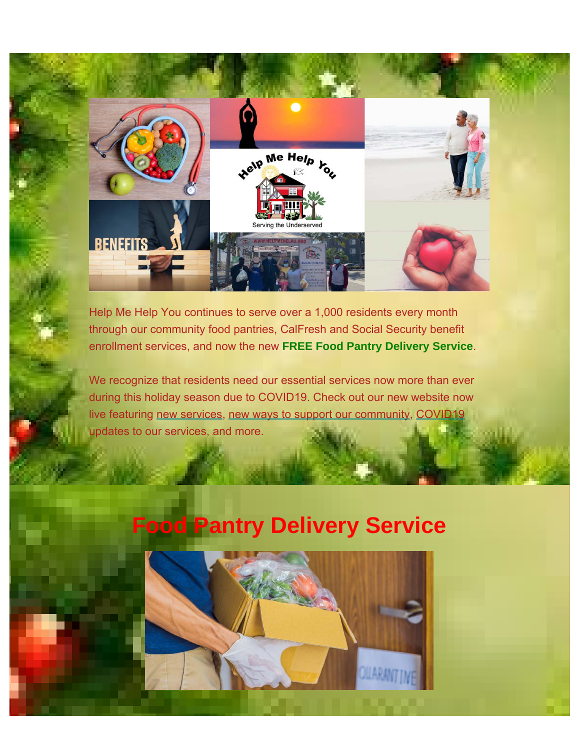

Help Me Help You continues to serve over a 1,000 residents every month through our community food pantries, CalFresh and Social Security benefit enrollment services, and now the new **FREE Food Pantry Delivery Service**.

We recognize that residents need our essential services now more than ever during this holiday season due to COVID19. Check out our new website now live featuring [new services](https://www.helpmehelpu.org/services), [new ways to support our community](https://www.helpmehelpu.org/donate), [COVID19](https://www.helpmehelpu.org/covid-19) updates to our services, and more.

## **Food Pantry Delivery Service**

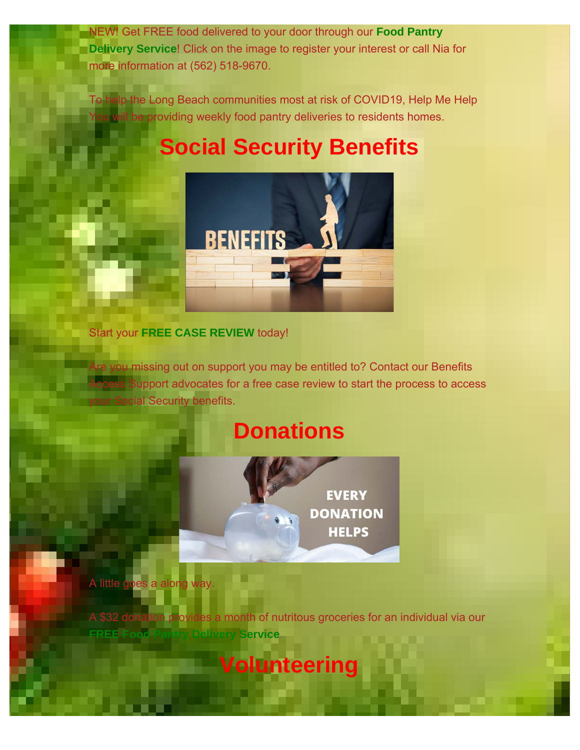NEW! Get FREE food delivered to your door through our **Food Pantry Delivery Service**! Click on the image to register your interest or call Nia for more information at (562) 518-9670.

To help the Long Beach communities most at risk of COVID19, Help Me Help I be providing weekly food pantry deliveries to residents homes.

## **Social Security Benefits**



Start your **FREE CASE REVIEW** today!

Are you missing out on support you may be entitled to? Contact our Benefits c<mark>cess S</mark>upport advocates for a free case review to start the process to access **your Social Security benefits.** 

## **Donations**



A little goes a along

des a month of nutritous groceries for an individual via our **Service** 

**Volunteering**